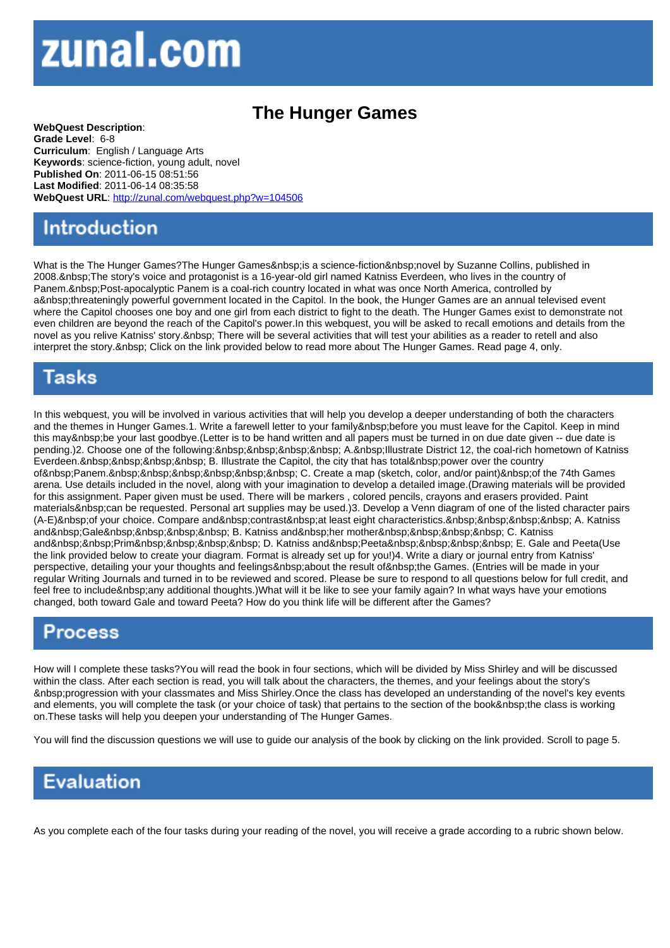## The Hunger Games

WebQuest Description: Grade Level: 6-8 Curriculum: English / Language Arts Keywords: science-fiction, young adult, novel Published On: 2011-06-15 08:51:56 Last Modified: 2011-06-14 08:35:58 WebQuest URL: http://zunal.com/webquest.php?w=104506

What is the The Hunger Games?The Hunger Games is a science-fiction novel by Suzanne Collins, published in 2008. The story's voice and protagonist is a 16-year-old girl named Katniss Everdeen, who lives in the country of Panem.&nbsp:Post-apocalyptic Panem is a coal-rich country located in what was once North America, controlled by a threateningly powerful government located in the Capitol. In the book, the Hunger Games are an annual televised event where the Capitol chooses one boy and one girl from each district to fight to the death. The Hunger Games exist to demonstrate not even children are beyond the reach of the Capitol's power.In this webquest, you will be asked to recall emotions and details from the novel as you relive Katniss' story. There will be several activities that will test your abilities as a reader to retell and also interpret the story. Click on the link provided below to read more about The Hunger Games. Read page 4, only.

In this webquest, you will be involved in various activities that will help you develop a deeper understanding of both the characters and the themes in Hunger Games.1. Write a farewell letter to your family before you must leave for the Capitol. Keep in mind this may be your last goodbye.(Letter is to be hand written and all papers must be turned in on due date given -- due date is pending.)2. Choose one of the following: A. Illustrate District 12, the coal-rich hometown of Katniss Everdeen. B. Illustrate the Capitol, the city that has total power over the country of Panem. C. Create a map (sketch, color, and/or paint) of the 74th Games arena. Use details included in the novel, along with your imagination to develop a detailed image.(Drawing materials will be provided for this assignment. Paper given must be used. There will be markers , colored pencils, crayons and erasers provided. Paint materials & nbsp: can be requested. Personal art supplies may be used.)3. Develop a Venn diagram of one of the listed character pairs (A-E) of your choice. Compare and contrast at least eight characteristics. A. Katniss and Gale B. Katniss and her mother C. Katniss and Prim D. Katniss and Peeta E. Gale and Peeta(Use the link provided below to create your diagram. Format is already set up for you!)4. Write a diary or journal entry from Katniss' perspective, detailing your your thoughts and feelings about the result of the Games. (Entries will be made in your regular Writing Journals and turned in to be reviewed and scored. Please be sure to respond to all questions below for full credit, and feel free to include any additional thoughts.)What will it be like to see your family again? In what ways have your emotions changed, both toward Gale and toward Peeta? How do you think life will be different after the Games?

How will I complete these tasks?You will read the book in four sections, which will be divided by Miss Shirley and will be discussed within the class. After each section is read, you will talk about the characters, the themes, and your feelings about the story's progression with your classmates and Miss Shirley.Once the class has developed an understanding of the novel's key events and elements, you will complete the task (or your choice of task) that pertains to the section of the book the class is working on.These tasks will help you deepen your understanding of The Hunger Games.

You will find the discussion questions we will use to guide our analysis of the book by clicking on the link provided. Scroll to page 5.

As you complete each of the four tasks during your reading of the novel, you will receive a grade according to a rubric shown below.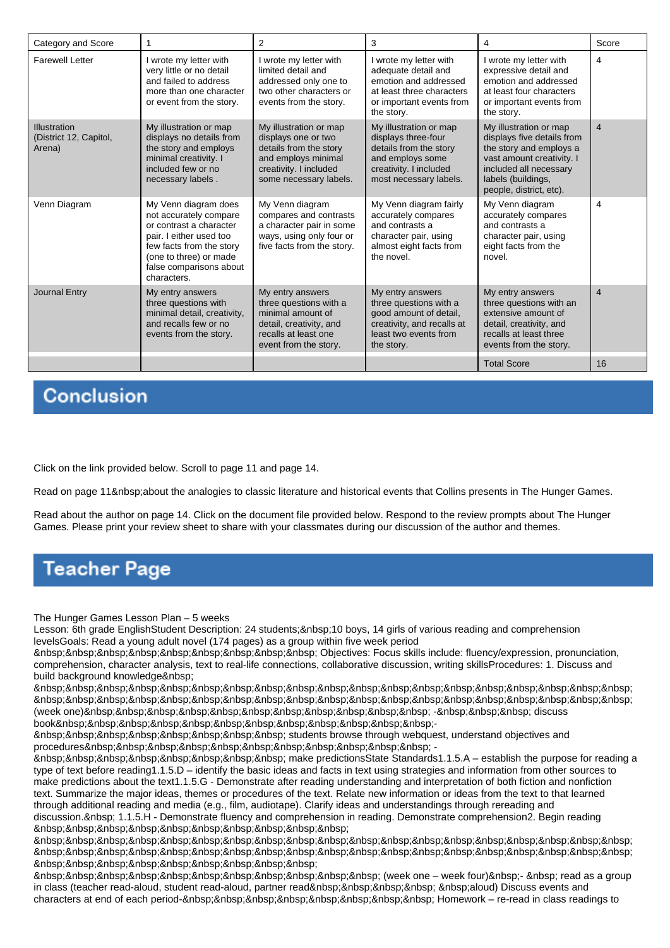| Category and Score                               |                                                                                                                                                                                                      | 2                                                                                                                                                  | 3                                                                                                                                               | 4                                                                                                                                                                                       | Score          |
|--------------------------------------------------|------------------------------------------------------------------------------------------------------------------------------------------------------------------------------------------------------|----------------------------------------------------------------------------------------------------------------------------------------------------|-------------------------------------------------------------------------------------------------------------------------------------------------|-----------------------------------------------------------------------------------------------------------------------------------------------------------------------------------------|----------------|
| <b>Farewell Letter</b>                           | I wrote my letter with<br>very little or no detail<br>and failed to address<br>more than one character<br>or event from the story.                                                                   | I wrote my letter with<br>limited detail and<br>addressed only one to<br>two other characters or<br>events from the story.                         | wrote my letter with<br>adequate detail and<br>emotion and addressed<br>at least three characters<br>or important events from<br>the story.     | I wrote my letter with<br>expressive detail and<br>emotion and addressed<br>at least four characters<br>or important events from<br>the story.                                          | 4              |
| Illustration<br>(District 12, Capitol,<br>Arena) | My illustration or map<br>displays no details from<br>the story and employs<br>minimal creativity. I<br>included few or no<br>necessary labels.                                                      | My illustration or map<br>displays one or two<br>details from the story<br>and employs minimal<br>creativity. I included<br>some necessary labels. | My illustration or map<br>displays three-four<br>details from the story<br>and employs some<br>creativity. I included<br>most necessary labels. | My illustration or map<br>displays five details from<br>the story and employs a<br>vast amount creativity. I<br>included all necessary<br>labels (buildings,<br>people, district, etc). | $\overline{4}$ |
| Venn Diagram                                     | My Venn diagram does<br>not accurately compare<br>or contrast a character<br>pair. I either used too<br>few facts from the story<br>(one to three) or made<br>false comparisons about<br>characters. | My Venn diagram<br>compares and contrasts<br>a character pair in some<br>ways, using only four or<br>five facts from the story.                    | My Venn diagram fairly<br>accurately compares<br>and contrasts a<br>character pair, using<br>almost eight facts from<br>the novel.              | My Venn diagram<br>accurately compares<br>and contrasts a<br>character pair, using<br>eight facts from the<br>novel.                                                                    | 4              |
| Journal Entry                                    | My entry answers<br>three questions with<br>minimal detail, creativity,<br>and recalls few or no<br>events from the story.                                                                           | My entry answers<br>three questions with a<br>minimal amount of<br>detail, creativity, and<br>recalls at least one<br>event from the story.        | My entry answers<br>three questions with a<br>good amount of detail,<br>creativity, and recalls at<br>least two events from<br>the story.       | My entry answers<br>three questions with an<br>extensive amount of<br>detail, creativity, and<br>recalls at least three<br>events from the story.                                       | $\overline{4}$ |
|                                                  |                                                                                                                                                                                                      |                                                                                                                                                    |                                                                                                                                                 | <b>Total Score</b>                                                                                                                                                                      | 16             |

## **Conclusion**

Click on the link provided below. Scroll to page 11 and page 14.

Read on page 11&nbsp:about the analogies to classic literature and historical events that Collins presents in The Hunger Games.

Read about the author on page 14. Click on the document file provided below. Respond to the review prompts about The Hunger Games. Please print your review sheet to share with your classmates during our discussion of the author and themes.

## **Teacher Page**

The Hunger Games Lesson Plan – 5 weeks

Lesson: 6th grade EnglishStudent Description: 24 students; 10 boys, 14 girls of various reading and comprehension levelsGoals: Read a young adult novel (174 pages) as a group within five week period

 Objectives: Focus skills include: fluency/expression, pronunciation, comprehension, character analysis, text to real-life connections, collaborative discussion, writing skillsProcedures: 1. Discuss and build background knowledge

&nbsp:&nbsp:&nbsp:&nbsp:&nbsp:&nbsp:&nbsp:&nbsp:&nbsp:&nbsp:&nbsp:&nbsp:&nbsp:&nbsp:&nbsp:&nbsp:&nbsp:&nbsp:&nbsp:&nbsp: (week one)&nbsp:&nbsp:&nbsp:&nbsp:&nbsp:&nbsp:&nbsp:&nbsp:&nbsp:&nbsp:&nbsp:&nbsp:&nbsp: discuss book&nbsp:&nbsp:&nbsp:&nbsp:&nbsp:&nbsp:&nbsp:&nbsp:&nbsp:&nbsp:&nbsp:&nbsp:-

 students browse through webquest, understand objectives and procedures&nbsp:&nbsp:&nbsp:&nbsp:&nbsp:&nbsp:&nbsp:&nbsp:&nbsp:&nbsp:&nbsp:

 make predictionsState Standards1.1.5.A – establish the purpose for reading a type of text before reading1.1.5.D – identify the basic ideas and facts in text using strategies and information from other sources to make predictions about the text1.1.5.G - Demonstrate after reading understanding and interpretation of both fiction and nonfiction text. Summarize the major ideas, themes or procedures of the text. Relate new information or ideas from the text to that learned through additional reading and media (e.g., film, audiotape). Clarify ideas and understandings through rereading and discussion. 1.1.5.H - Demonstrate fluency and comprehension in reading. Demonstrate comprehension2. Begin reading 

 

 (week one – week four) - read as a group in class (teacher read-aloud, student read-aloud, partner read aloud) Discuss events and characters at end of each period-&nbsp:&nbsp:&nbsp:&nbsp:&nbsp:&nbsp:&nbsp:&nbsp: Homework – re-read in class readings to